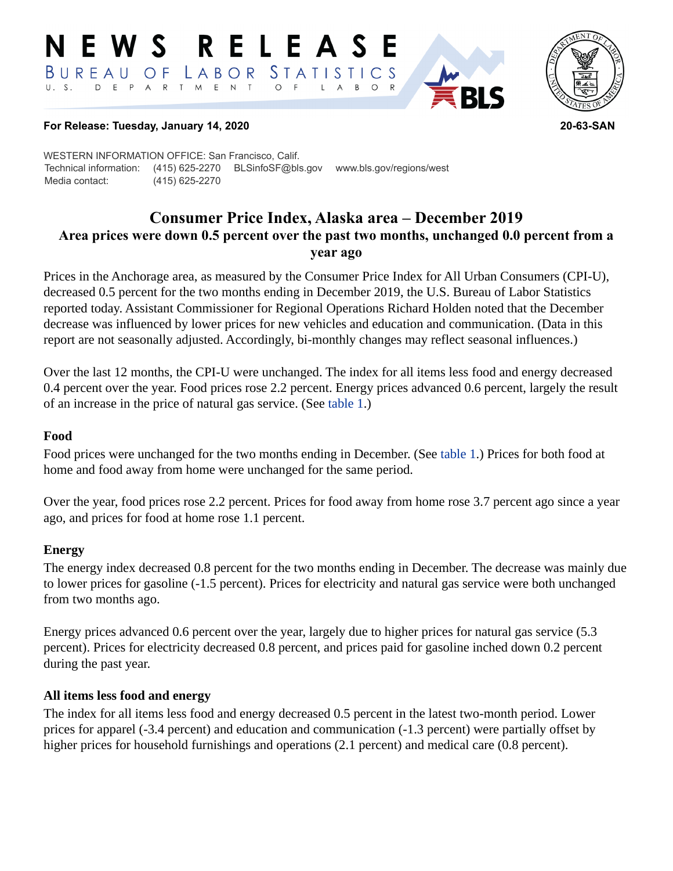#### RELEASE E W S BUREAU STATISTICS O F LABOR D E P A R T M E N T  $\circ$  $\overline{F}$  $B$  $\circ$  $\mathsf{L}$  $\overline{A}$



## **For Release: Tuesday, January 14, 2020 20-63-SAN**

WESTERN INFORMATION OFFICE: San Francisco, Calif. Technical information: (415) 625-2270 BLSinfoSF@bls.gov www.bls.gov/regions/west Media contact: (415) 625-2270

# **Consumer Price Index, Alaska area – December 2019 Area prices were down 0.5 percent over the past two months, unchanged 0.0 percent from a year ago**

Prices in the Anchorage area, as measured by the Consumer Price Index for All Urban Consumers (CPI-U), decreased 0.5 percent for the two months ending in December 2019, the U.S. Bureau of Labor Statistics reported today. Assistant Commissioner for Regional Operations Richard Holden noted that the December decrease was influenced by lower prices for new vehicles and education and communication. (Data in this report are not seasonally adjusted. Accordingly, bi-monthly changes may reflect seasonal influences.)

Over the last 12 months, the CPI-U were unchanged. The index for all items less food and energy decreased 0.4 percent over the year. Food prices rose 2.2 percent. Energy prices advanced 0.6 percent, largely the result of an increase in the price of natural gas service. (See [table 1.](#page-3-0))

## **Food**

Food prices were unchanged for the two months ending in December. (See [table 1](#page-3-0).) Prices for both food at home and food away from home were unchanged for the same period.

Over the year, food prices rose 2.2 percent. Prices for food away from home rose 3.7 percent ago since a year ago, and prices for food at home rose 1.1 percent.

## **Energy**

The energy index decreased 0.8 percent for the two months ending in December. The decrease was mainly due to lower prices for gasoline (-1.5 percent). Prices for electricity and natural gas service were both unchanged from two months ago.

Energy prices advanced 0.6 percent over the year, largely due to higher prices for natural gas service (5.3 percent). Prices for electricity decreased 0.8 percent, and prices paid for gasoline inched down 0.2 percent during the past year.

## **All items less food and energy**

The index for all items less food and energy decreased 0.5 percent in the latest two-month period. Lower prices for apparel (-3.4 percent) and education and communication (-1.3 percent) were partially offset by higher prices for household furnishings and operations (2.1 percent) and medical care (0.8 percent).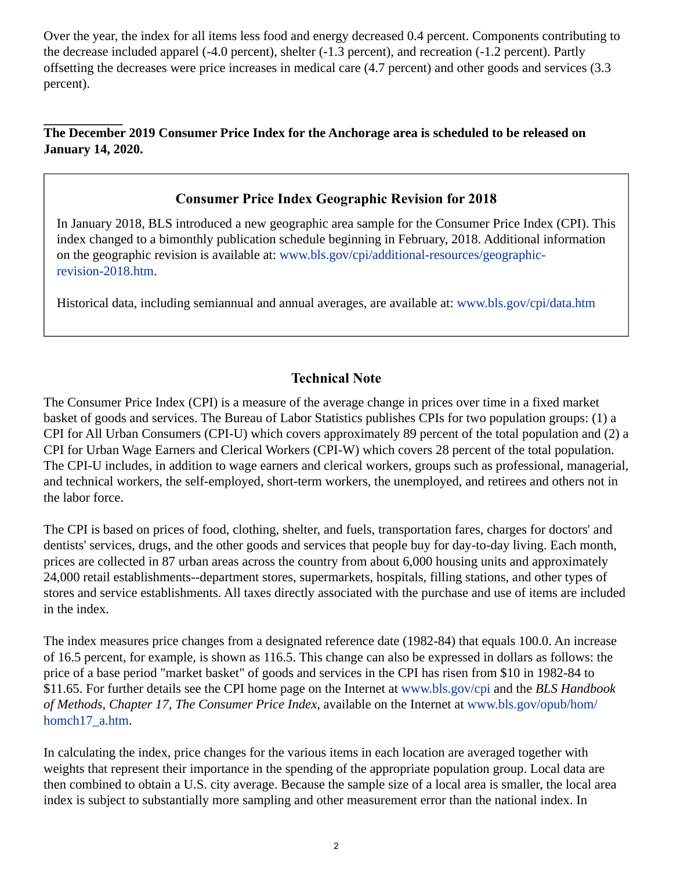Over the year, the index for all items less food and energy decreased 0.4 percent. Components contributing to the decrease included apparel (-4.0 percent), shelter (-1.3 percent), and recreation (-1.2 percent). Partly offsetting the decreases were price increases in medical care (4.7 percent) and other goods and services (3.3 percent).

## **The December 2019 Consumer Price Index for the Anchorage area is scheduled to be released on January 14, 2020.**

# **Consumer Price Index Geographic Revision for 2018**

In January 2018, BLS introduced a new geographic area sample for the Consumer Price Index (CPI). This index changed to a bimonthly publication schedule beginning in February, 2018. Additional information on the geographic revision is available at: [www.bls.gov/cpi/additional-resources/geographic](https://www.bls.gov/cpi/additional-resources/geographic-revision-2018.htm)[revision-2018.htm.](https://www.bls.gov/cpi/additional-resources/geographic-revision-2018.htm)

Historical data, including semiannual and annual averages, are available at: [www.bls.gov/cpi/data.htm](https://www.bls.gov/cpi/data.htm)

# **Technical Note**

The Consumer Price Index (CPI) is a measure of the average change in prices over time in a fixed market basket of goods and services. The Bureau of Labor Statistics publishes CPIs for two population groups: (1) a CPI for All Urban Consumers (CPI-U) which covers approximately 89 percent of the total population and (2) a CPI for Urban Wage Earners and Clerical Workers (CPI-W) which covers 28 percent of the total population. The CPI-U includes, in addition to wage earners and clerical workers, groups such as professional, managerial, and technical workers, the self-employed, short-term workers, the unemployed, and retirees and others not in the labor force.

The CPI is based on prices of food, clothing, shelter, and fuels, transportation fares, charges for doctors' and dentists' services, drugs, and the other goods and services that people buy for day-to-day living. Each month, prices are collected in 87 urban areas across the country from about 6,000 housing units and approximately 24,000 retail establishments--department stores, supermarkets, hospitals, filling stations, and other types of stores and service establishments. All taxes directly associated with the purchase and use of items are included in the index.

The index measures price changes from a designated reference date (1982-84) that equals 100.0. An increase of 16.5 percent, for example, is shown as 116.5. This change can also be expressed in dollars as follows: the price of a base period "market basket" of goods and services in the CPI has risen from \$10 in 1982-84 to \$11.65. For further details see the CPI home page on the Internet at [www.bls.gov/cpi](https://www.bls.gov/cpi/) and the *BLS Handbook of Methods, Chapter 17, The Consumer Price Index*, available on the Internet at [www.bls.gov/opub/hom/](https://www.bls.gov/opub/hom/homch17_a.htm) [homch17\\_a.htm](https://www.bls.gov/opub/hom/homch17_a.htm).

In calculating the index, price changes for the various items in each location are averaged together with weights that represent their importance in the spending of the appropriate population group. Local data are then combined to obtain a U.S. city average. Because the sample size of a local area is smaller, the local area index is subject to substantially more sampling and other measurement error than the national index. In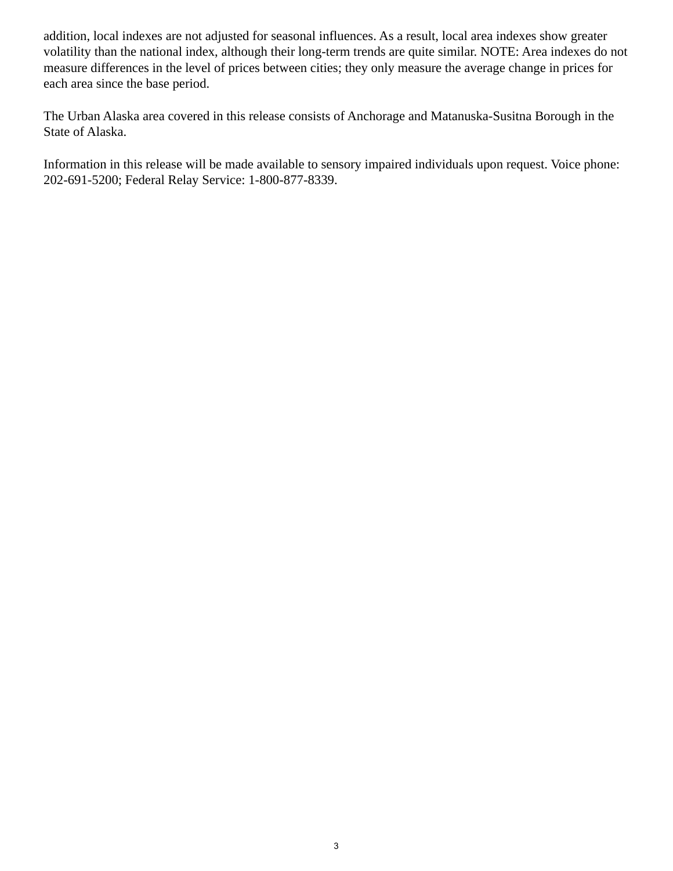addition, local indexes are not adjusted for seasonal influences. As a result, local area indexes show greater volatility than the national index, although their long-term trends are quite similar. NOTE: Area indexes do not measure differences in the level of prices between cities; they only measure the average change in prices for each area since the base period.

The Urban Alaska area covered in this release consists of Anchorage and Matanuska-Susitna Borough in the State of Alaska.

Information in this release will be made available to sensory impaired individuals upon request. Voice phone: 202-691-5200; Federal Relay Service: 1-800-877-8339.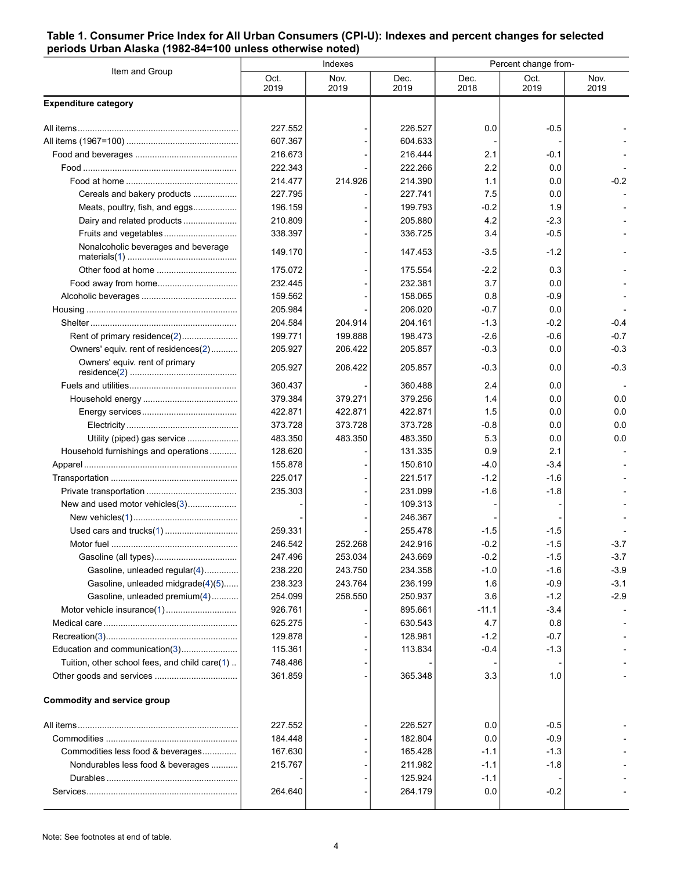#### <span id="page-3-0"></span>**Table 1. Consumer Price Index for All Urban Consumers (CPI-U): Indexes and percent changes for selected periods Urban Alaska (1982-84=100 unless otherwise noted)**

| Item and Group                                | Indexes      |              |              | Percent change from- |              |              |
|-----------------------------------------------|--------------|--------------|--------------|----------------------|--------------|--------------|
|                                               | Oct.<br>2019 | Nov.<br>2019 | Dec.<br>2019 | Dec.<br>2018         | Oct.<br>2019 | Nov.<br>2019 |
| <b>Expenditure category</b>                   |              |              |              |                      |              |              |
|                                               | 227.552      |              | 226.527      | 0.0                  | $-0.5$       |              |
|                                               | 607.367      |              | 604.633      |                      |              |              |
|                                               | 216.673      |              | 216.444      | 2.1                  | -0.1         |              |
|                                               | 222.343      |              | 222.266      | 2.2                  | 0.0          |              |
|                                               | 214.477      | 214.926      | 214.390      | 1.1                  | 0.0          | $-0.2$       |
| Cereals and bakery products                   | 227.795      |              | 227.741      | 7.5                  | 0.0          |              |
| Meats, poultry, fish, and eggs                | 196.159      |              | 199.793      | $-0.2$               | 1.9          |              |
| Dairy and related products                    | 210.809      |              | 205.880      | 4.2                  | $-2.3$       |              |
| Fruits and vegetables                         | 338.397      |              | 336.725      | 3.4                  | $-0.5$       |              |
| Nonalcoholic beverages and beverage           | 149.170      |              | 147.453      | -3.5                 | $-1.2$       |              |
|                                               | 175.072      |              | 175.554      | $-2.2$               | 0.3          |              |
|                                               | 232.445      |              | 232.381      | 3.7                  | 0.0          |              |
|                                               | 159.562      |              | 158.065      | 0.8                  | $-0.9$       |              |
|                                               | 205.984      |              | 206.020      | $-0.7$               | 0.0          |              |
|                                               | 204.584      | 204.914      | 204.161      | $-1.3$               | $-0.2$       | $-0.4$       |
| Rent of primary residence(2)                  | 199.771      | 199.888      | 198.473      | $-2.6$               | $-0.6$       | $-0.7$       |
| Owners' equiv. rent of residences(2)          | 205.927      | 206.422      | 205.857      | $-0.3$               | 0.0          | $-0.3$       |
| Owners' equiv. rent of primary                | 205.927      | 206.422      | 205.857      | $-0.3$               | 0.0          | $-0.3$       |
|                                               | 360.437      |              | 360.488      | 2.4                  | 0.0          |              |
|                                               | 379.384      | 379.271      | 379.256      | 1.4                  | 0.0          | 0.0          |
|                                               | 422.871      | 422.871      | 422.871      | 1.5                  | 0.0          | 0.0          |
|                                               | 373.728      | 373.728      | 373.728      | $-0.8$               | 0.0          | 0.0          |
| Utility (piped) gas service                   | 483.350      | 483.350      | 483.350      | 5.3                  | 0.0          | 0.0          |
| Household furnishings and operations          | 128.620      |              | 131.335      | 0.9                  | 2.1          |              |
|                                               | 155.878      |              | 150.610      | -4.0                 | $-3.4$       |              |
|                                               | 225.017      |              | 221.517      | $-1.2$               | $-1.6$       |              |
|                                               | 235.303      |              | 231.099      | $-1.6$               | $-1.8$       |              |
| New and used motor vehicles(3)                |              |              | 109.313      |                      |              |              |
|                                               |              |              | 246.367      |                      |              |              |
|                                               | 259.331      |              | 255.478      | $-1.5$               | $-1.5$       |              |
|                                               | 246.542      | 252.268      | 242.916      | $-0.2$               | $-1.5$       | $-3.7$       |
|                                               | 247.496      | 253.034      | 243.669      | $-0.2$               | $-1.5$       | $-3.7$       |
| Gasoline, unleaded regular(4)                 | 238.220      | 243.750      | 234.358      | -1.0                 | $-1.6$       | $-3.9$       |
| Gasoline, unleaded midgrade(4)(5)             | 238.323      | 243.764      | 236.199      | 1.6                  | $-0.9$       | $-3.1$       |
| Gasoline, unleaded premium(4)                 | 254.099      | 258.550      | 250.937      | 3.6                  | $-1.2$       | $-2.9$       |
| Motor vehicle insurance(1)                    | 926.761      |              | 895.661      | $-11.1$              | $-3.4$       |              |
|                                               | 625.275      |              | 630.543      | 4.7                  | 0.8          |              |
|                                               | 129.878      |              | 128.981      | $-1.2$               | $-0.7$       |              |
| Education and communication(3)                | 115.361      |              | 113.834      | $-0.4$               | $-1.3$       |              |
| Tuition, other school fees, and child care(1) | 748.486      |              |              |                      |              |              |
|                                               | 361.859      |              | 365.348      | 3.3                  | 1.0          |              |
| <b>Commodity and service group</b>            |              |              |              |                      |              |              |
|                                               | 227.552      |              | 226.527      | 0.0                  | $-0.5$       |              |
|                                               | 184.448      |              | 182.804      | 0.0                  | $-0.9$       |              |
| Commodities less food & beverages             | 167.630      |              | 165.428      | $-1.1$               | $-1.3$       |              |
| Nondurables less food & beverages             | 215.767      |              | 211.982      | $-1.1$               | $-1.8$       |              |
|                                               |              |              | 125.924      | $-1.1$               |              |              |
|                                               | 264.640      |              | 264.179      | 0.0                  | $-0.2$       |              |